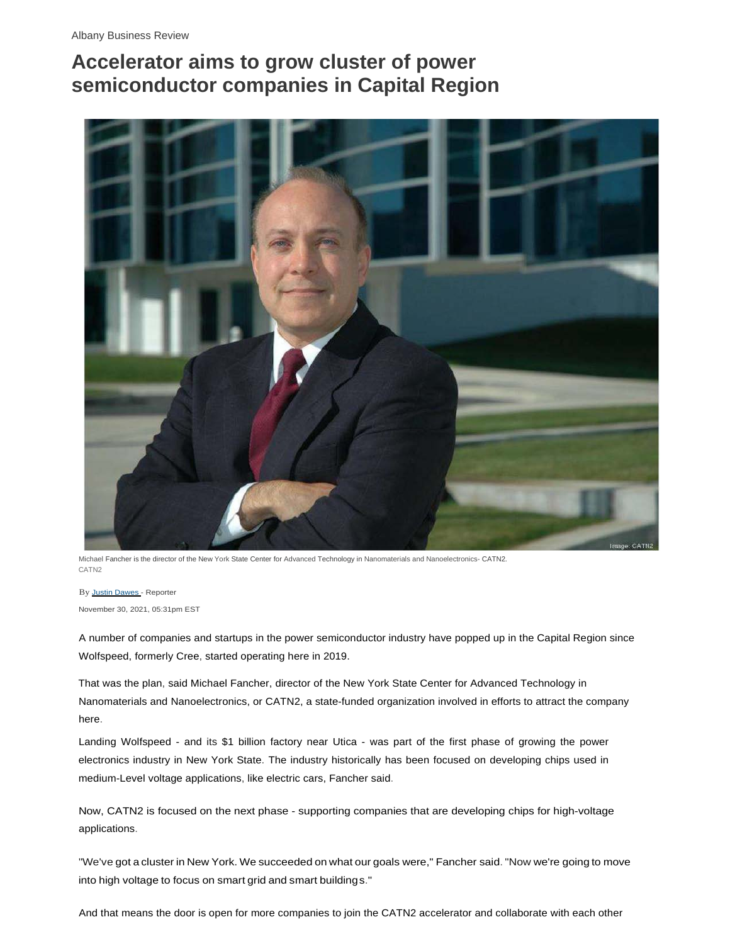## **Accelerator aims to grow cluster of power semiconductor companies in Capital Region**



Michael Fancher is the director of the New York State Center for Advanced Technology in Nanomaterials and Nanoelectronics- CATN2. CATN<sub>2</sub>

By Justin Dawes - Reporter November 30, 2021, 05:31pm EST

A number of companies and startups in the power semiconductor industry have popped up in the Capital Region since Wolfspeed, formerly Cree, started operating here in 2019.

That was the plan, said Michael Fancher, director of the New York State Center for Advanced Technology in Nanomaterials and Nanoelectronics, or CATN2, a state-funded organization involved in efforts to attract the company here.

Landing Wolfspeed - and its \$1 billion factory near Utica - was part of the first phase of growing the power electronics industry in New York State. The industry historically has been focused on developing chips used in medium-Level voltage applications, like electric cars, Fancher said.

Now, CATN2 is focused on the next phase - supporting companies that are developing chips for high-voltage applications.

"We've got a cluster in New York. We succeeded on what our goals were," Fancher said. "Now we're going to move into high voltage to focus on smart grid and smart buildings."

And that means the door is open for more companies to join the CATN2 accelerator and collaborate with each other